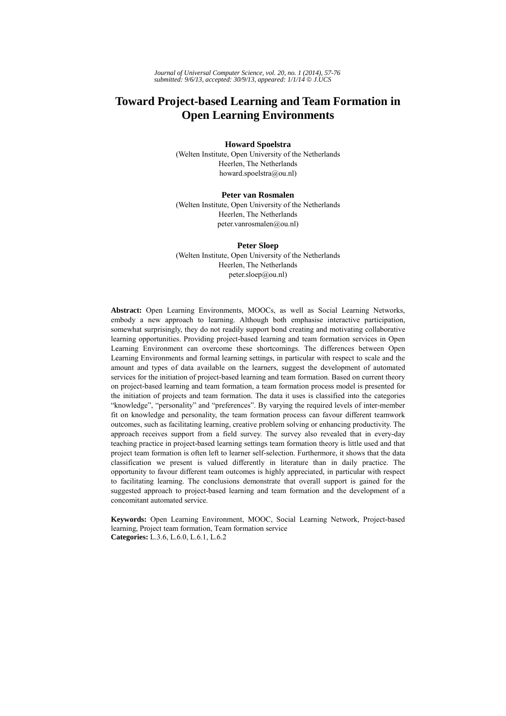# **Toward Project-based Learning and Team Formation in Open Learning Environments**

### **Howard Spoelstra**

(Welten Institute, Open University of the Netherlands Heerlen, The Netherlands howard.spoelstra@ou.nl)

#### **Peter van Rosmalen**

(Welten Institute, Open University of the Netherlands Heerlen, The Netherlands peter.vanrosmalen@ou.nl)

**Peter Sloep**  (Welten Institute, Open University of the Netherlands Heerlen, The Netherlands peter.sloep@ou.nl)

**Abstract:** Open Learning Environments, MOOCs, as well as Social Learning Networks, embody a new approach to learning. Although both emphasise interactive participation, somewhat surprisingly, they do not readily support bond creating and motivating collaborative learning opportunities. Providing project-based learning and team formation services in Open Learning Environment can overcome these shortcomings. The differences between Open Learning Environments and formal learning settings, in particular with respect to scale and the amount and types of data available on the learners, suggest the development of automated services for the initiation of project-based learning and team formation. Based on current theory on project-based learning and team formation, a team formation process model is presented for the initiation of projects and team formation. The data it uses is classified into the categories "knowledge", "personality" and "preferences". By varying the required levels of inter-member fit on knowledge and personality, the team formation process can favour different teamwork outcomes, such as facilitating learning, creative problem solving or enhancing productivity. The approach receives support from a field survey. The survey also revealed that in every-day teaching practice in project-based learning settings team formation theory is little used and that project team formation is often left to learner self-selection. Furthermore, it shows that the data classification we present is valued differently in literature than in daily practice. The opportunity to favour different team outcomes is highly appreciated, in particular with respect to facilitating learning. The conclusions demonstrate that overall support is gained for the suggested approach to project-based learning and team formation and the development of a concomitant automated service.

**Keywords:** Open Learning Environment, MOOC, Social Learning Network, Project-based learning, Project team formation, Team formation service **Categories:** L.3.6, L.6.0, L.6.1, L.6.2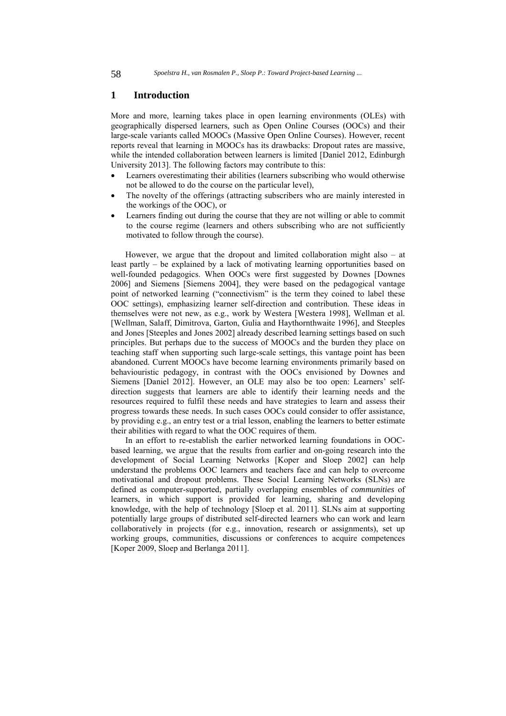### **1 Introduction**

More and more, learning takes place in open learning environments (OLEs) with geographically dispersed learners, such as Open Online Courses (OOCs) and their large-scale variants called MOOCs (Massive Open Online Courses). However, recent reports reveal that learning in MOOCs has its drawbacks: Dropout rates are massive, while the intended collaboration between learners is limited [Daniel 2012, Edinburgh] University 2013]. The following factors may contribute to this:

- Learners overestimating their abilities (learners subscribing who would otherwise not be allowed to do the course on the particular level),
- The novelty of the offerings (attracting subscribers who are mainly interested in the workings of the OOC), or
- Learners finding out during the course that they are not willing or able to commit to the course regime (learners and others subscribing who are not sufficiently motivated to follow through the course).

However, we argue that the dropout and limited collaboration might also – at least partly – be explained by a lack of motivating learning opportunities based on well-founded pedagogics. When OOCs were first suggested by Downes [Downes 2006] and Siemens [Siemens 2004], they were based on the pedagogical vantage point of networked learning ("connectivism" is the term they coined to label these OOC settings), emphasizing learner self-direction and contribution. These ideas in themselves were not new, as e.g., work by Westera [Westera 1998], Wellman et al. [Wellman, Salaff, Dimitrova, Garton, Gulia and Haythornthwaite 1996], and Steeples and Jones [Steeples and Jones 2002] already described learning settings based on such principles. But perhaps due to the success of MOOCs and the burden they place on teaching staff when supporting such large-scale settings, this vantage point has been abandoned. Current MOOCs have become learning environments primarily based on behaviouristic pedagogy, in contrast with the OOCs envisioned by Downes and Siemens [Daniel 2012]. However, an OLE may also be too open: Learners' selfdirection suggests that learners are able to identify their learning needs and the resources required to fulfil these needs and have strategies to learn and assess their progress towards these needs. In such cases OOCs could consider to offer assistance, by providing e.g., an entry test or a trial lesson, enabling the learners to better estimate their abilities with regard to what the OOC requires of them.

In an effort to re-establish the earlier networked learning foundations in OOCbased learning, we argue that the results from earlier and on-going research into the development of Social Learning Networks [Koper and Sloep 2002] can help understand the problems OOC learners and teachers face and can help to overcome motivational and dropout problems. These Social Learning Networks (SLNs) are defined as computer-supported, partially overlapping ensembles of *communities* of learners, in which support is provided for learning, sharing and developing knowledge, with the help of technology [Sloep et al. 2011]. SLNs aim at supporting potentially large groups of distributed self-directed learners who can work and learn collaboratively in projects (for e.g., innovation, research or assignments), set up working groups, communities, discussions or conferences to acquire competences [Koper 2009, Sloep and Berlanga 2011].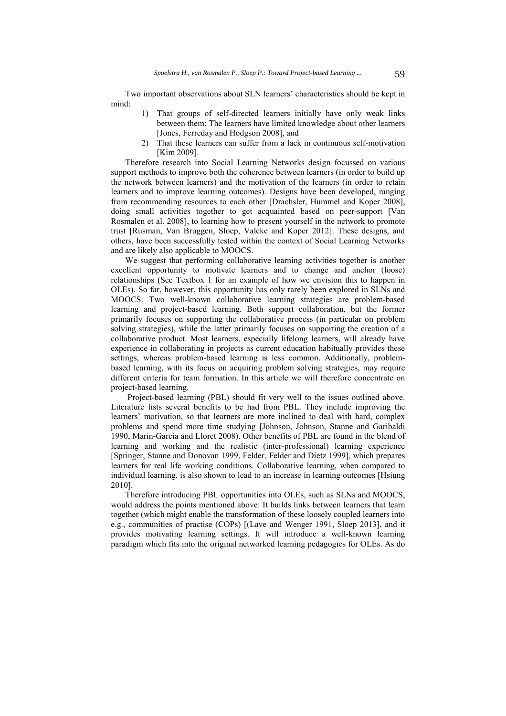Two important observations about SLN learners' characteristics should be kept in mind:

- 1) That groups of self-directed learners initially have only weak links between them: The learners have limited knowledge about other learners [Jones, Ferreday and Hodgson 2008], and
- 2) That these learners can suffer from a lack in continuous self-motivation [Kim 2009].

Therefore research into Social Learning Networks design focussed on various support methods to improve both the coherence between learners (in order to build up the network between learners) and the motivation of the learners (in order to retain learners and to improve learning outcomes). Designs have been developed, ranging from recommending resources to each other [Drachsler, Hummel and Koper 2008], doing small activities together to get acquainted based on peer-support [Van Rosmalen et al. 2008], to learning how to present yourself in the network to promote trust [Rusman, Van Bruggen, Sloep, Valcke and Koper 2012]. These designs, and others, have been successfully tested within the context of Social Learning Networks and are likely also applicable to MOOCS.

We suggest that performing collaborative learning activities together is another excellent opportunity to motivate learners and to change and anchor (loose) relationships (See Textbox 1 for an example of how we envision this to happen in OLEs). So far, however, this opportunity has only rarely been explored in SLNs and MOOCS. Two well-known collaborative learning strategies are problem-based learning and project-based learning. Both support collaboration, but the former primarily focuses on supporting the collaborative process (in particular on problem solving strategies), while the latter primarily focuses on supporting the creation of a collaborative product. Most learners, especially lifelong learners, will already have experience in collaborating in projects as current education habitually provides these settings, whereas problem-based learning is less common. Additionally, problembased learning, with its focus on acquiring problem solving strategies, may require different criteria for team formation. In this article we will therefore concentrate on project-based learning.

 Project-based learning (PBL) should fit very well to the issues outlined above. Literature lists several benefits to be had from PBL. They include improving the learners' motivation, so that learners are more inclined to deal with hard, complex problems and spend more time studying [Johnson, Johnson, Stanne and Garibaldi 1990, Marin-Garcia and Lloret 2008). Other benefits of PBL are found in the blend of learning and working and the realistic (inter-professional) learning experience [Springer, Stanne and Donovan 1999, Felder, Felder and Dietz 1999], which prepares learners for real life working conditions. Collaborative learning, when compared to individual learning, is also shown to lead to an increase in learning outcomes [Hsiung 2010].

Therefore introducing PBL opportunities into OLEs, such as SLNs and MOOCS, would address the points mentioned above: It builds links between learners that learn together (which might enable the transformation of these loosely coupled learners into e.g., communities of practise (COPs) [(Lave and Wenger 1991, Sloep 2013], and it provides motivating learning settings. It will introduce a well-known learning paradigm which fits into the original networked learning pedagogies for OLEs. As do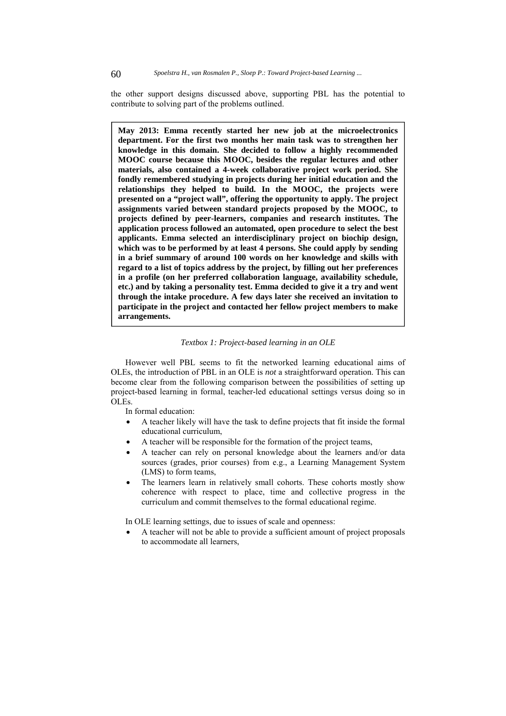the other support designs discussed above, supporting PBL has the potential to contribute to solving part of the problems outlined.

**May 2013: Emma recently started her new job at the microelectronics department. For the first two months her main task was to strengthen her knowledge in this domain. She decided to follow a highly recommended MOOC course because this MOOC, besides the regular lectures and other materials, also contained a 4-week collaborative project work period. She fondly remembered studying in projects during her initial education and the relationships they helped to build. In the MOOC, the projects were presented on a "project wall", offering the opportunity to apply. The project assignments varied between standard projects proposed by the MOOC, to projects defined by peer-learners, companies and research institutes. The application process followed an automated, open procedure to select the best applicants. Emma selected an interdisciplinary project on biochip design,**  which was to be performed by at least 4 persons. She could apply by sending **in a brief summary of around 100 words on her knowledge and skills with regard to a list of topics address by the project, by filling out her preferences in a profile (on her preferred collaboration language, availability schedule, etc.) and by taking a personality test. Emma decided to give it a try and went through the intake procedure. A few days later she received an invitation to participate in the project and contacted her fellow project members to make arrangements.** 

#### *Textbox 1: Project-based learning in an OLE*

However well PBL seems to fit the networked learning educational aims of OLEs, the introduction of PBL in an OLE is *not* a straightforward operation. This can become clear from the following comparison between the possibilities of setting up project-based learning in formal, teacher-led educational settings versus doing so in OLEs.

In formal education:

- A teacher likely will have the task to define projects that fit inside the formal educational curriculum,
- A teacher will be responsible for the formation of the project teams,
- A teacher can rely on personal knowledge about the learners and/or data sources (grades, prior courses) from e.g., a Learning Management System (LMS) to form teams,
- The learners learn in relatively small cohorts. These cohorts mostly show coherence with respect to place, time and collective progress in the curriculum and commit themselves to the formal educational regime.

In OLE learning settings, due to issues of scale and openness:

 A teacher will not be able to provide a sufficient amount of project proposals to accommodate all learners,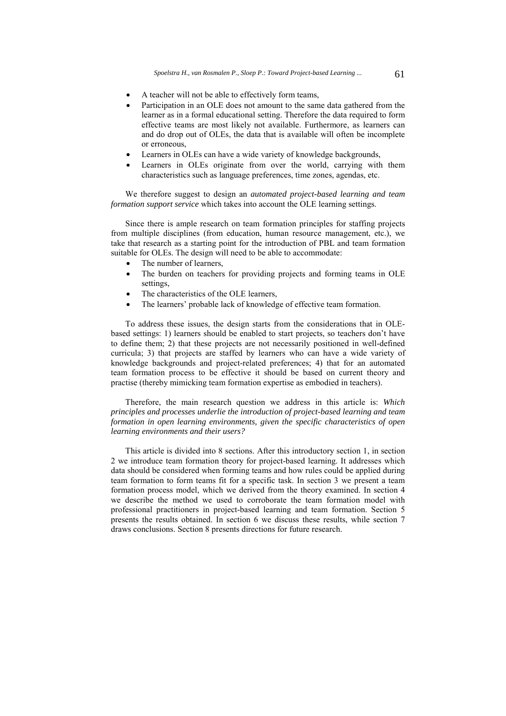- A teacher will not be able to effectively form teams,
- Participation in an OLE does not amount to the same data gathered from the learner as in a formal educational setting. Therefore the data required to form effective teams are most likely not available. Furthermore, as learners can and do drop out of OLEs, the data that is available will often be incomplete or erroneous,
- Learners in OLEs can have a wide variety of knowledge backgrounds,
- Learners in OLEs originate from over the world, carrying with them characteristics such as language preferences, time zones, agendas, etc.

We therefore suggest to design an *automated project-based learning and team formation support service* which takes into account the OLE learning settings.

Since there is ample research on team formation principles for staffing projects from multiple disciplines (from education, human resource management, etc.), we take that research as a starting point for the introduction of PBL and team formation suitable for OLEs. The design will need to be able to accommodate:

- The number of learners,
- The burden on teachers for providing projects and forming teams in OLE settings,
- The characteristics of the OLE learners,
- The learners' probable lack of knowledge of effective team formation.

To address these issues, the design starts from the considerations that in OLEbased settings: 1) learners should be enabled to start projects, so teachers don't have to define them; 2) that these projects are not necessarily positioned in well-defined curricula; 3) that projects are staffed by learners who can have a wide variety of knowledge backgrounds and project-related preferences; 4) that for an automated team formation process to be effective it should be based on current theory and practise (thereby mimicking team formation expertise as embodied in teachers).

Therefore, the main research question we address in this article is: *Which principles and processes underlie the introduction of project-based learning and team formation in open learning environments, given the specific characteristics of open learning environments and their users?*

This article is divided into 8 sections. After this introductory section 1, in section 2 we introduce team formation theory for project-based learning. It addresses which data should be considered when forming teams and how rules could be applied during team formation to form teams fit for a specific task. In section 3 we present a team formation process model, which we derived from the theory examined. In section 4 we describe the method we used to corroborate the team formation model with professional practitioners in project-based learning and team formation. Section 5 presents the results obtained. In section 6 we discuss these results, while section 7 draws conclusions. Section 8 presents directions for future research.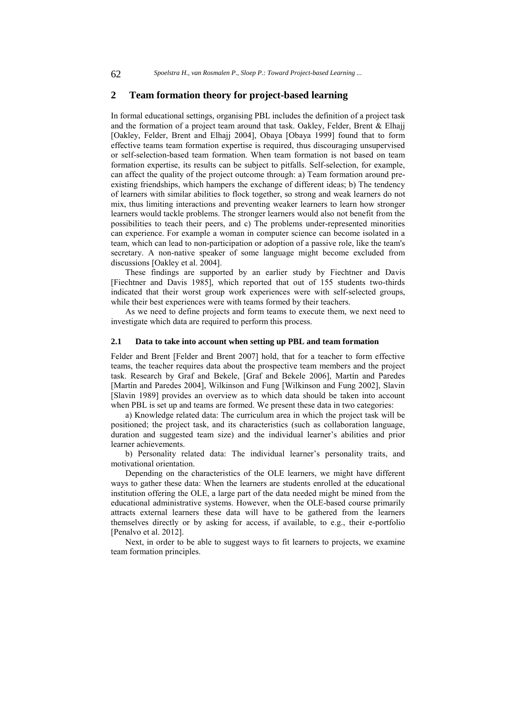### **2 Team formation theory for project-based learning**

In formal educational settings, organising PBL includes the definition of a project task and the formation of a project team around that task. Oakley, Felder, Brent & Elhajj [Oakley, Felder, Brent and Elhajj 2004], Obaya [Obaya 1999] found that to form effective teams team formation expertise is required, thus discouraging unsupervised or self-selection-based team formation. When team formation is not based on team formation expertise, its results can be subject to pitfalls. Self-selection, for example, can affect the quality of the project outcome through: a) Team formation around preexisting friendships, which hampers the exchange of different ideas; b) The tendency of learners with similar abilities to flock together, so strong and weak learners do not mix, thus limiting interactions and preventing weaker learners to learn how stronger learners would tackle problems. The stronger learners would also not benefit from the possibilities to teach their peers, and c) The problems under-represented minorities can experience. For example a woman in computer science can become isolated in a team, which can lead to non-participation or adoption of a passive role, like the team's secretary. A non-native speaker of some language might become excluded from discussions [Oakley et al. 2004].

These findings are supported by an earlier study by Fiechtner and Davis [Fiechtner and Davis 1985], which reported that out of 155 students two-thirds indicated that their worst group work experiences were with self-selected groups, while their best experiences were with teams formed by their teachers.

As we need to define projects and form teams to execute them, we next need to investigate which data are required to perform this process.

#### **2.1 Data to take into account when setting up PBL and team formation**

Felder and Brent [Felder and Brent 2007] hold, that for a teacher to form effective teams, the teacher requires data about the prospective team members and the project task. Research by Graf and Bekele, [Graf and Bekele 2006], Martín and Paredes [Martín and Paredes 2004], Wilkinson and Fung [Wilkinson and Fung 2002], Slavin [Slavin 1989] provides an overview as to which data should be taken into account when PBL is set up and teams are formed. We present these data in two categories:

a) Knowledge related data: The curriculum area in which the project task will be positioned; the project task, and its characteristics (such as collaboration language, duration and suggested team size) and the individual learner's abilities and prior learner achievements.

b) Personality related data: The individual learner's personality traits, and motivational orientation.

Depending on the characteristics of the OLE learners, we might have different ways to gather these data: When the learners are students enrolled at the educational institution offering the OLE, a large part of the data needed might be mined from the educational administrative systems. However, when the OLE-based course primarily attracts external learners these data will have to be gathered from the learners themselves directly or by asking for access, if available, to e.g., their e-portfolio [Penalvo et al. 2012].

Next, in order to be able to suggest ways to fit learners to projects, we examine team formation principles.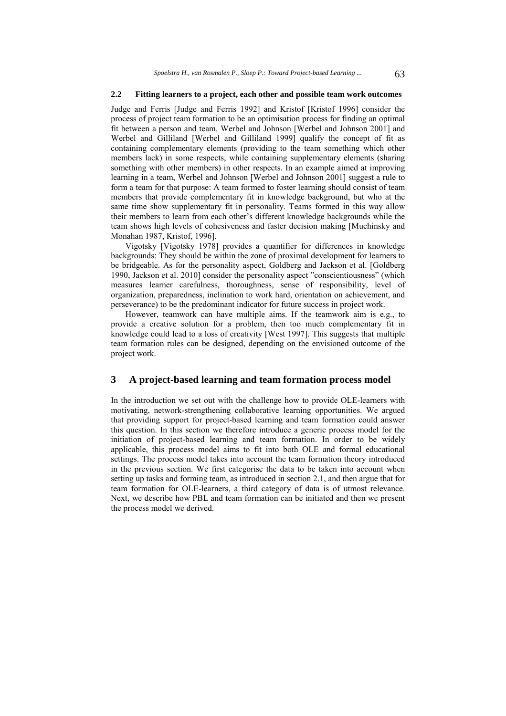#### **2.2 Fitting learners to a project, each other and possible team work outcomes**

Judge and Ferris [Judge and Ferris 1992] and Kristof [Kristof 1996] consider the process of project team formation to be an optimisation process for finding an optimal fit between a person and team. Werbel and Johnson [Werbel and Johnson 2001] and Werbel and Gilliland [Werbel and Gilliland 1999] qualify the concept of fit as containing complementary elements (providing to the team something which other members lack) in some respects, while containing supplementary elements (sharing something with other members) in other respects. In an example aimed at improving learning in a team, Werbel and Johnson [Werbel and Johnson 2001] suggest a rule to form a team for that purpose: A team formed to foster learning should consist of team members that provide complementary fit in knowledge background, but who at the same time show supplementary fit in personality. Teams formed in this way allow their members to learn from each other's different knowledge backgrounds while the team shows high levels of cohesiveness and faster decision making [Muchinsky and Monahan 1987, Kristof, 1996].

Vigotsky [Vigotsky 1978] provides a quantifier for differences in knowledge backgrounds: They should be within the zone of proximal development for learners to be bridgeable. As for the personality aspect, Goldberg and Jackson et al. [Goldberg 1990, Jackson et al. 2010] consider the personality aspect "conscientiousness" (which measures learner carefulness, thoroughness, sense of responsibility, level of organization, preparedness, inclination to work hard, orientation on achievement, and perseverance) to be the predominant indicator for future success in project work.

However, teamwork can have multiple aims. If the teamwork aim is e.g., to provide a creative solution for a problem, then too much complementary fit in knowledge could lead to a loss of creativity [West 1997]. This suggests that multiple team formation rules can be designed, depending on the envisioned outcome of the project work.

# **3 A project-based learning and team formation process model**

In the introduction we set out with the challenge how to provide OLE-learners with motivating, network-strengthening collaborative learning opportunities. We argued that providing support for project-based learning and team formation could answer this question. In this section we therefore introduce a generic process model for the initiation of project-based learning and team formation. In order to be widely applicable, this process model aims to fit into both OLE and formal educational settings. The process model takes into account the team formation theory introduced in the previous section. We first categorise the data to be taken into account when setting up tasks and forming team, as introduced in section 2.1, and then argue that for team formation for OLE-learners, a third category of data is of utmost relevance. Next, we describe how PBL and team formation can be initiated and then we present the process model we derived.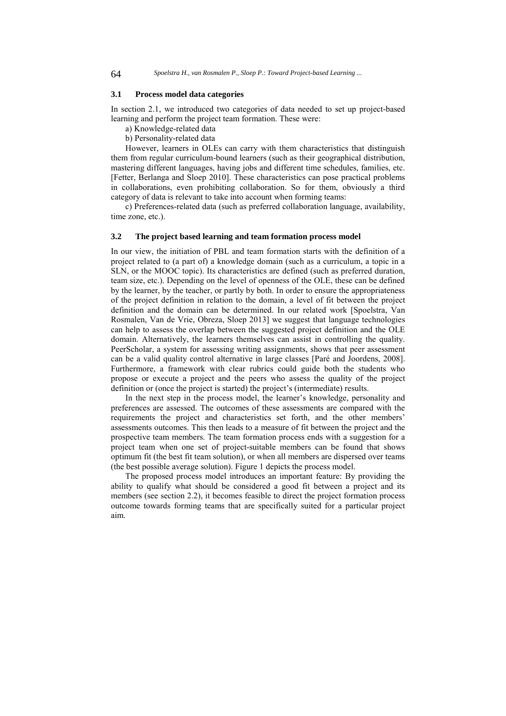#### **3.1 Process model data categories**

In section 2.1, we introduced two categories of data needed to set up project-based learning and perform the project team formation. These were:

a) Knowledge-related data b) Personality-related data

However, learners in OLEs can carry with them characteristics that distinguish them from regular curriculum-bound learners (such as their geographical distribution, mastering different languages, having jobs and different time schedules, families, etc. [Fetter, Berlanga and Sloep 2010]. These characteristics can pose practical problems in collaborations, even prohibiting collaboration. So for them, obviously a third category of data is relevant to take into account when forming teams:

c) Preferences-related data (such as preferred collaboration language, availability, time zone, etc.).

#### **3.2 The project based learning and team formation process model**

In our view, the initiation of PBL and team formation starts with the definition of a project related to (a part of) a knowledge domain (such as a curriculum, a topic in a SLN, or the MOOC topic). Its characteristics are defined (such as preferred duration, team size, etc.). Depending on the level of openness of the OLE, these can be defined by the learner, by the teacher, or partly by both. In order to ensure the appropriateness of the project definition in relation to the domain, a level of fit between the project definition and the domain can be determined. In our related work [Spoelstra, Van Rosmalen, Van de Vrie, Obreza, Sloep 2013] we suggest that language technologies can help to assess the overlap between the suggested project definition and the OLE domain. Alternatively, the learners themselves can assist in controlling the quality. PeerScholar, a system for assessing writing assignments, shows that peer assessment can be a valid quality control alternative in large classes [Paré and Joordens, 2008]. Furthermore, a framework with clear rubrics could guide both the students who propose or execute a project and the peers who assess the quality of the project definition or (once the project is started) the project's (intermediate) results.

In the next step in the process model, the learner's knowledge, personality and preferences are assessed. The outcomes of these assessments are compared with the requirements the project and characteristics set forth, and the other members' assessments outcomes. This then leads to a measure of fit between the project and the prospective team members. The team formation process ends with a suggestion for a project team when one set of project-suitable members can be found that shows optimum fit (the best fit team solution), or when all members are dispersed over teams (the best possible average solution). Figure 1 depicts the process model.

The proposed process model introduces an important feature: By providing the ability to qualify what should be considered a good fit between a project and its members (see section 2.2), it becomes feasible to direct the project formation process outcome towards forming teams that are specifically suited for a particular project aim.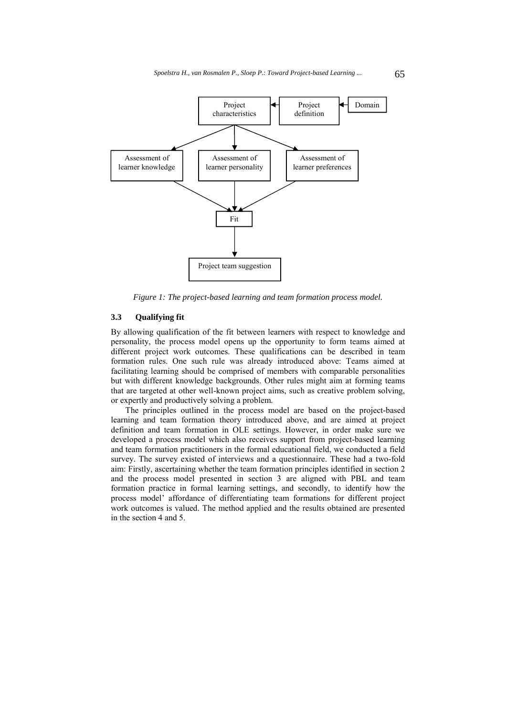

*Figure 1: The project-based learning and team formation process model.* 

#### **3.3 Qualifying fit**

By allowing qualification of the fit between learners with respect to knowledge and personality, the process model opens up the opportunity to form teams aimed at different project work outcomes. These qualifications can be described in team formation rules. One such rule was already introduced above: Teams aimed at facilitating learning should be comprised of members with comparable personalities but with different knowledge backgrounds. Other rules might aim at forming teams that are targeted at other well-known project aims, such as creative problem solving, or expertly and productively solving a problem.

The principles outlined in the process model are based on the project-based learning and team formation theory introduced above, and are aimed at project definition and team formation in OLE settings. However, in order make sure we developed a process model which also receives support from project-based learning and team formation practitioners in the formal educational field, we conducted a field survey. The survey existed of interviews and a questionnaire. These had a two-fold aim: Firstly, ascertaining whether the team formation principles identified in section 2 and the process model presented in section 3 are aligned with PBL and team formation practice in formal learning settings, and secondly, to identify how the process model' affordance of differentiating team formations for different project work outcomes is valued. The method applied and the results obtained are presented in the section 4 and 5.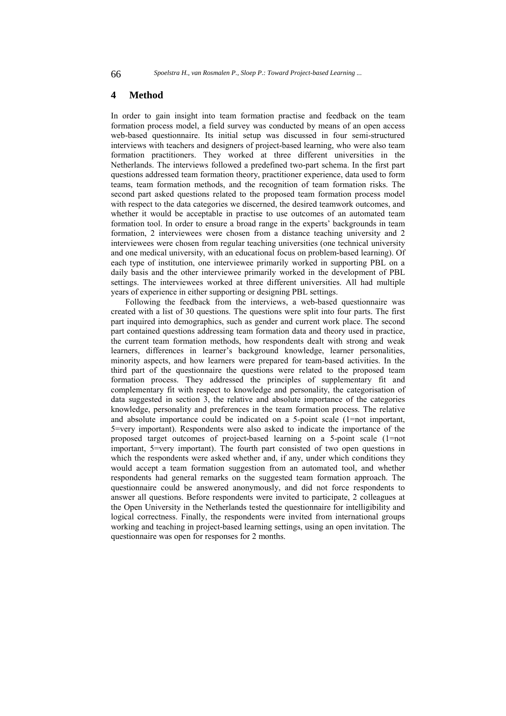### **4 Method**

In order to gain insight into team formation practise and feedback on the team formation process model, a field survey was conducted by means of an open access web-based questionnaire. Its initial setup was discussed in four semi-structured interviews with teachers and designers of project-based learning, who were also team formation practitioners. They worked at three different universities in the Netherlands. The interviews followed a predefined two-part schema. In the first part questions addressed team formation theory, practitioner experience, data used to form teams, team formation methods, and the recognition of team formation risks. The second part asked questions related to the proposed team formation process model with respect to the data categories we discerned, the desired teamwork outcomes, and whether it would be acceptable in practise to use outcomes of an automated team formation tool. In order to ensure a broad range in the experts' backgrounds in team formation, 2 interviewees were chosen from a distance teaching university and 2 interviewees were chosen from regular teaching universities (one technical university and one medical university, with an educational focus on problem-based learning). Of each type of institution, one interviewee primarily worked in supporting PBL on a daily basis and the other interviewee primarily worked in the development of PBL settings. The interviewees worked at three different universities. All had multiple years of experience in either supporting or designing PBL settings.

Following the feedback from the interviews, a web-based questionnaire was created with a list of 30 questions. The questions were split into four parts. The first part inquired into demographics, such as gender and current work place. The second part contained questions addressing team formation data and theory used in practice, the current team formation methods, how respondents dealt with strong and weak learners, differences in learner's background knowledge, learner personalities, minority aspects, and how learners were prepared for team-based activities. In the third part of the questionnaire the questions were related to the proposed team formation process. They addressed the principles of supplementary fit and complementary fit with respect to knowledge and personality, the categorisation of data suggested in section 3, the relative and absolute importance of the categories knowledge, personality and preferences in the team formation process. The relative and absolute importance could be indicated on a 5-point scale (1=not important, 5=very important). Respondents were also asked to indicate the importance of the proposed target outcomes of project-based learning on a 5-point scale (1=not important, 5=very important). The fourth part consisted of two open questions in which the respondents were asked whether and, if any, under which conditions they would accept a team formation suggestion from an automated tool, and whether respondents had general remarks on the suggested team formation approach. The questionnaire could be answered anonymously, and did not force respondents to answer all questions. Before respondents were invited to participate, 2 colleagues at the Open University in the Netherlands tested the questionnaire for intelligibility and logical correctness. Finally, the respondents were invited from international groups working and teaching in project-based learning settings, using an open invitation. The questionnaire was open for responses for 2 months.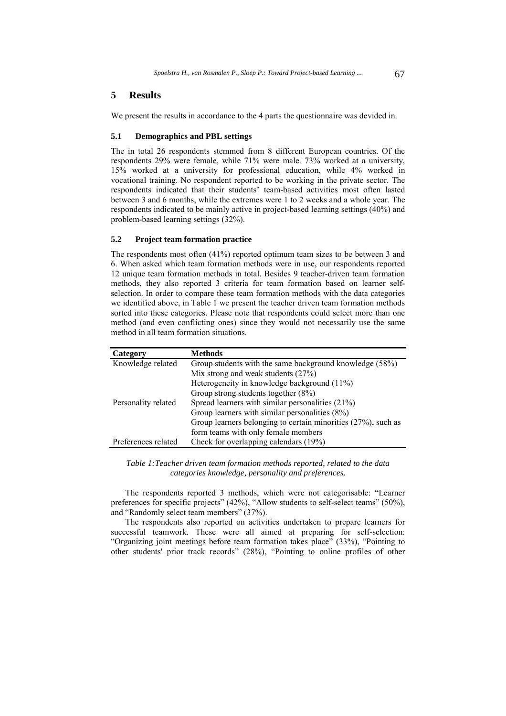# **5 Results**

We present the results in accordance to the 4 parts the questionnaire was devided in.

#### **5.1 Demographics and PBL settings**

The in total 26 respondents stemmed from 8 different European countries. Of the respondents 29% were female, while 71% were male. 73% worked at a university, 15% worked at a university for professional education, while 4% worked in vocational training. No respondent reported to be working in the private sector. The respondents indicated that their students' team-based activities most often lasted between 3 and 6 months, while the extremes were 1 to 2 weeks and a whole year. The respondents indicated to be mainly active in project-based learning settings (40%) and problem-based learning settings (32%).

#### **5.2 Project team formation practice**

The respondents most often (41%) reported optimum team sizes to be between 3 and 6. When asked which team formation methods were in use, our respondents reported 12 unique team formation methods in total. Besides 9 teacher-driven team formation methods, they also reported 3 criteria for team formation based on learner selfselection. In order to compare these team formation methods with the data categories we identified above, in Table 1 we present the teacher driven team formation methods sorted into these categories. Please note that respondents could select more than one method (and even conflicting ones) since they would not necessarily use the same method in all team formation situations.

| Category            | <b>Methods</b>                                                |
|---------------------|---------------------------------------------------------------|
| Knowledge related   | Group students with the same background knowledge (58%)       |
|                     | Mix strong and weak students $(27%)$                          |
|                     | Heterogeneity in knowledge background (11%)                   |
|                     | Group strong students together $(8\%)$                        |
| Personality related | Spread learners with similar personalities $(21\%)$           |
|                     | Group learners with similar personalities $(8\%)$             |
|                     | Group learners belonging to certain minorities (27%), such as |
|                     | form teams with only female members                           |
| Preferences related | Check for overlapping calendars (19%)                         |

*Table 1:Teacher driven team formation methods reported, related to the data categories knowledge, personality and preferences.* 

The respondents reported 3 methods, which were not categorisable: "Learner preferences for specific projects" (42%), "Allow students to self-select teams" (50%), and "Randomly select team members" (37%).

The respondents also reported on activities undertaken to prepare learners for successful teamwork. These were all aimed at preparing for self-selection: "Organizing joint meetings before team formation takes place" (33%), "Pointing to other students' prior track records" (28%), "Pointing to online profiles of other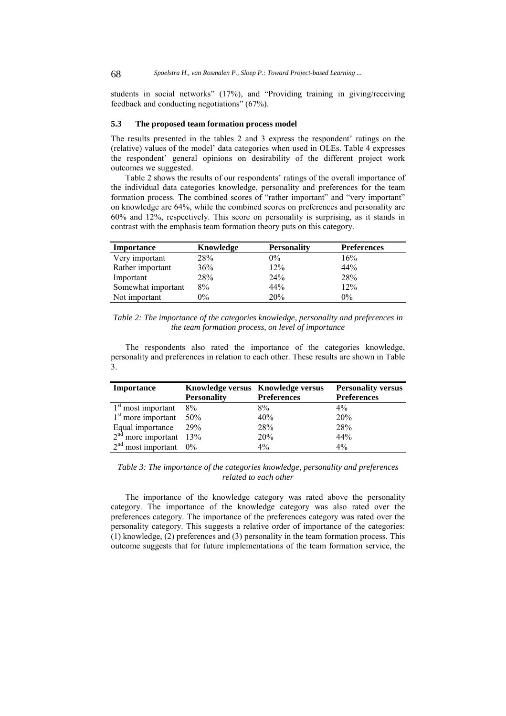students in social networks" (17%), and "Providing training in giving/receiving feedback and conducting negotiations" (67%).

#### **5.3 The proposed team formation process model**

The results presented in the tables 2 and 3 express the respondent' ratings on the (relative) values of the model' data categories when used in OLEs. Table 4 expresses the respondent' general opinions on desirability of the different project work outcomes we suggested.

Table 2 shows the results of our respondents' ratings of the overall importance of the individual data categories knowledge, personality and preferences for the team formation process. The combined scores of "rather important" and "very important" on knowledge are 64%, while the combined scores on preferences and personality are 60% and 12%, respectively. This score on personality is surprising, as it stands in contrast with the emphasis team formation theory puts on this category.

| Importance         | Knowledge | <b>Personality</b> | <b>Preferences</b> |
|--------------------|-----------|--------------------|--------------------|
| Very important     | 28%       | $0\%$              | 16%                |
| Rather important   | 36%       | 12%                | 44%                |
| Important          | 28%       | 24%                | 28%                |
| Somewhat important | 8%        | 44%                | 12%                |
| Not important      | $0\%$     | 20%                | $0\%$              |

*Table 2: The importance of the categories knowledge, personality and preferences in the team formation process, on level of importance* 

The respondents also rated the importance of the categories knowledge, personality and preferences in relation to each other. These results are shown in Table 3.

| Importance                                             |                    | Knowledge versus Knowledge versus | <b>Personality versus</b> |
|--------------------------------------------------------|--------------------|-----------------------------------|---------------------------|
|                                                        | <b>Personality</b> | <b>Preferences</b>                | <b>Preferences</b>        |
| $1st$ most important                                   | 8%                 | $8\%$                             | $4\%$                     |
| $1st$ more important                                   | 50%                | 40%                               | 20%                       |
|                                                        |                    | 28%                               | 28%                       |
| Equal importance $29\%$<br>$2nd$ more important $13\%$ |                    | 20%                               | 44%                       |
| $2nd$ most important 0%                                |                    | $4\%$                             | $4\%$                     |

*Table 3: The importance of the categories knowledge, personality and preferences related to each other* 

The importance of the knowledge category was rated above the personality category. The importance of the knowledge category was also rated over the preferences category. The importance of the preferences category was rated over the personality category. This suggests a relative order of importance of the categories: (1) knowledge, (2) preferences and (3) personality in the team formation process. This outcome suggests that for future implementations of the team formation service, the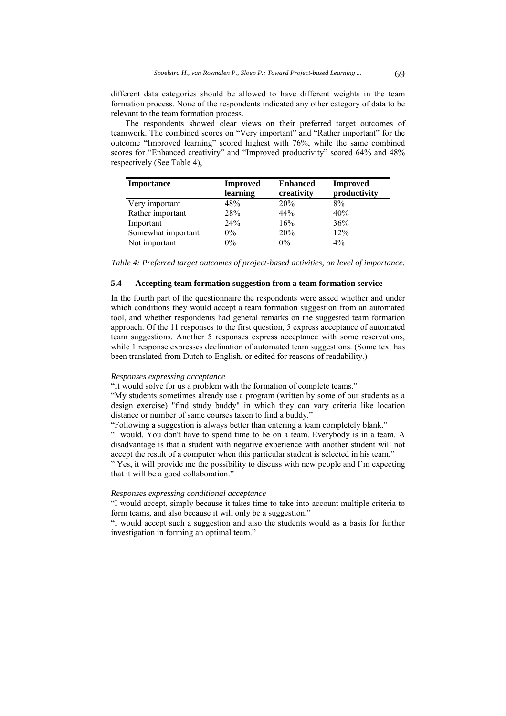different data categories should be allowed to have different weights in the team formation process. None of the respondents indicated any other category of data to be relevant to the team formation process.

The respondents showed clear views on their preferred target outcomes of teamwork. The combined scores on "Very important" and "Rather important" for the outcome "Improved learning" scored highest with 76%, while the same combined scores for "Enhanced creativity" and "Improved productivity" scored 64% and 48% respectively (See Table 4),

| <b>Importance</b>  | Improved | <b>Enhanced</b> | Improved     |
|--------------------|----------|-----------------|--------------|
|                    | learning | creativity      | productivity |
| Very important     | 48%      | 20%             | 8%           |
| Rather important   | 28%      | 44%             | 40%          |
| Important          | 24%      | 16%             | 36%          |
| Somewhat important | $0\%$    | 20%             | 12%          |
| Not important      | 0%       | $0\%$           | $4\%$        |

*Table 4: Preferred target outcomes of project-based activities, on level of importance.* 

# **5.4 Accepting team formation suggestion from a team formation service**

In the fourth part of the questionnaire the respondents were asked whether and under which conditions they would accept a team formation suggestion from an automated tool, and whether respondents had general remarks on the suggested team formation approach. Of the 11 responses to the first question, 5 express acceptance of automated team suggestions. Another 5 responses express acceptance with some reservations, while 1 response expresses declination of automated team suggestions. (Some text has been translated from Dutch to English, or edited for reasons of readability.)

# *Responses expressing acceptance*

"It would solve for us a problem with the formation of complete teams."

"My students sometimes already use a program (written by some of our students as a design exercise) "find study buddy" in which they can vary criteria like location distance or number of same courses taken to find a buddy."

"Following a suggestion is always better than entering a team completely blank."

"I would. You don't have to spend time to be on a team. Everybody is in a team. A disadvantage is that a student with negative experience with another student will not accept the result of a computer when this particular student is selected in his team."

" Yes, it will provide me the possibility to discuss with new people and I'm expecting that it will be a good collaboration."

#### *Responses expressing conditional acceptance*

"I would accept, simply because it takes time to take into account multiple criteria to form teams, and also because it will only be a suggestion."

"I would accept such a suggestion and also the students would as a basis for further investigation in forming an optimal team."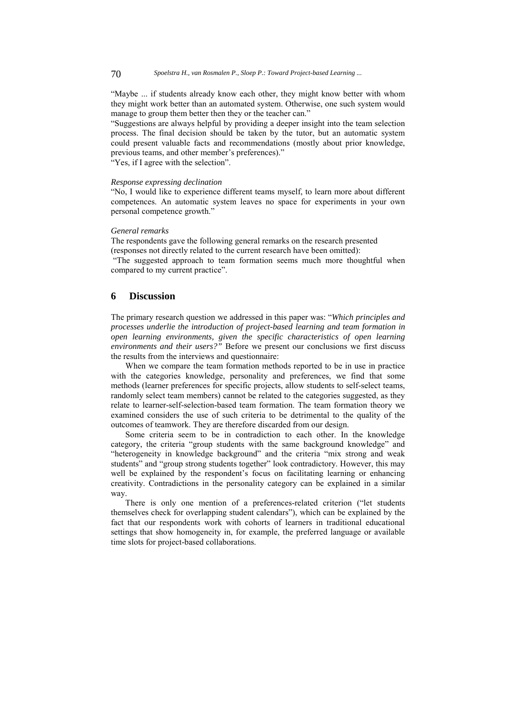"Maybe ... if students already know each other, they might know better with whom they might work better than an automated system. Otherwise, one such system would manage to group them better then they or the teacher can."

"Suggestions are always helpful by providing a deeper insight into the team selection process. The final decision should be taken by the tutor, but an automatic system could present valuable facts and recommendations (mostly about prior knowledge, previous teams, and other member's preferences)." "Yes, if I agree with the selection".

# *Response expressing declination*

"No, I would like to experience different teams myself, to learn more about different competences. An automatic system leaves no space for experiments in your own personal competence growth."

#### *General remarks*

The respondents gave the following general remarks on the research presented (responses not directly related to the current research have been omitted):

 "The suggested approach to team formation seems much more thoughtful when compared to my current practice".

# **6 Discussion**

The primary research question we addressed in this paper was: "*Which principles and processes underlie the introduction of project-based learning and team formation in open learning environments, given the specific characteristics of open learning environments and their users?"* Before we present our conclusions we first discuss the results from the interviews and questionnaire:

When we compare the team formation methods reported to be in use in practice with the categories knowledge, personality and preferences, we find that some methods (learner preferences for specific projects, allow students to self-select teams, randomly select team members) cannot be related to the categories suggested, as they relate to learner-self-selection-based team formation. The team formation theory we examined considers the use of such criteria to be detrimental to the quality of the outcomes of teamwork. They are therefore discarded from our design.

Some criteria seem to be in contradiction to each other. In the knowledge category, the criteria "group students with the same background knowledge" and "heterogeneity in knowledge background" and the criteria "mix strong and weak students" and "group strong students together" look contradictory. However, this may well be explained by the respondent's focus on facilitating learning or enhancing creativity. Contradictions in the personality category can be explained in a similar way.

There is only one mention of a preferences-related criterion ("let students themselves check for overlapping student calendars"), which can be explained by the fact that our respondents work with cohorts of learners in traditional educational settings that show homogeneity in, for example, the preferred language or available time slots for project-based collaborations.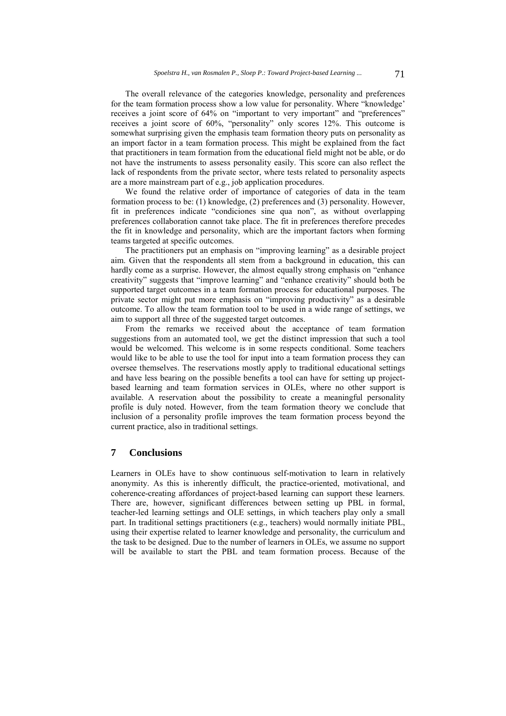The overall relevance of the categories knowledge, personality and preferences for the team formation process show a low value for personality. Where "knowledge' receives a joint score of 64% on "important to very important" and "preferences" receives a joint score of 60%, "personality" only scores 12%. This outcome is somewhat surprising given the emphasis team formation theory puts on personality as an import factor in a team formation process. This might be explained from the fact that practitioners in team formation from the educational field might not be able, or do not have the instruments to assess personality easily. This score can also reflect the lack of respondents from the private sector, where tests related to personality aspects are a more mainstream part of e.g., job application procedures.

We found the relative order of importance of categories of data in the team formation process to be: (1) knowledge, (2) preferences and (3) personality. However, fit in preferences indicate "condiciones sine qua non", as without overlapping preferences collaboration cannot take place. The fit in preferences therefore precedes the fit in knowledge and personality, which are the important factors when forming teams targeted at specific outcomes.

The practitioners put an emphasis on "improving learning" as a desirable project aim. Given that the respondents all stem from a background in education, this can hardly come as a surprise. However, the almost equally strong emphasis on "enhance creativity" suggests that "improve learning" and "enhance creativity" should both be supported target outcomes in a team formation process for educational purposes. The private sector might put more emphasis on "improving productivity" as a desirable outcome. To allow the team formation tool to be used in a wide range of settings, we aim to support all three of the suggested target outcomes.

From the remarks we received about the acceptance of team formation suggestions from an automated tool, we get the distinct impression that such a tool would be welcomed. This welcome is in some respects conditional. Some teachers would like to be able to use the tool for input into a team formation process they can oversee themselves. The reservations mostly apply to traditional educational settings and have less bearing on the possible benefits a tool can have for setting up projectbased learning and team formation services in OLEs, where no other support is available. A reservation about the possibility to create a meaningful personality profile is duly noted. However, from the team formation theory we conclude that inclusion of a personality profile improves the team formation process beyond the current practice, also in traditional settings.

# **7 Conclusions**

Learners in OLEs have to show continuous self-motivation to learn in relatively anonymity. As this is inherently difficult, the practice-oriented, motivational, and coherence-creating affordances of project-based learning can support these learners. There are, however, significant differences between setting up PBL in formal, teacher-led learning settings and OLE settings, in which teachers play only a small part. In traditional settings practitioners (e.g., teachers) would normally initiate PBL, using their expertise related to learner knowledge and personality, the curriculum and the task to be designed. Due to the number of learners in OLEs, we assume no support will be available to start the PBL and team formation process. Because of the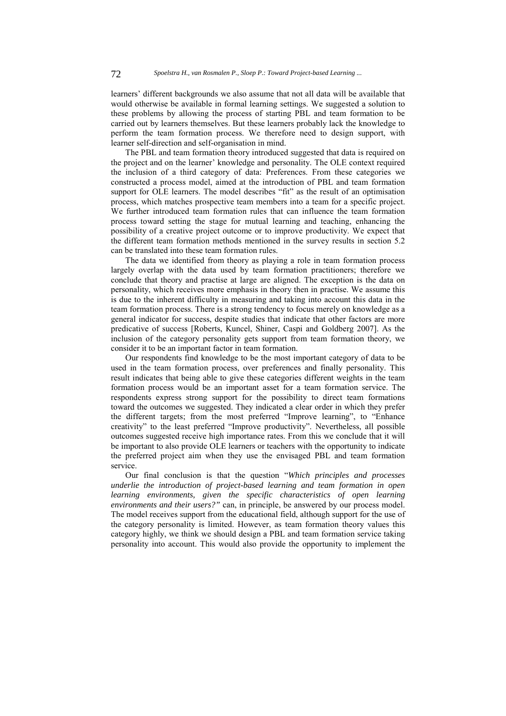learners' different backgrounds we also assume that not all data will be available that would otherwise be available in formal learning settings. We suggested a solution to these problems by allowing the process of starting PBL and team formation to be carried out by learners themselves. But these learners probably lack the knowledge to perform the team formation process. We therefore need to design support, with learner self-direction and self-organisation in mind.

The PBL and team formation theory introduced suggested that data is required on the project and on the learner' knowledge and personality. The OLE context required the inclusion of a third category of data: Preferences. From these categories we constructed a process model, aimed at the introduction of PBL and team formation support for OLE learners. The model describes "fit" as the result of an optimisation process, which matches prospective team members into a team for a specific project. We further introduced team formation rules that can influence the team formation process toward setting the stage for mutual learning and teaching, enhancing the possibility of a creative project outcome or to improve productivity. We expect that the different team formation methods mentioned in the survey results in section 5.2 can be translated into these team formation rules.

The data we identified from theory as playing a role in team formation process largely overlap with the data used by team formation practitioners; therefore we conclude that theory and practise at large are aligned. The exception is the data on personality, which receives more emphasis in theory then in practise. We assume this is due to the inherent difficulty in measuring and taking into account this data in the team formation process. There is a strong tendency to focus merely on knowledge as a general indicator for success, despite studies that indicate that other factors are more predicative of success [Roberts, Kuncel, Shiner, Caspi and Goldberg 2007]. As the inclusion of the category personality gets support from team formation theory, we consider it to be an important factor in team formation.

Our respondents find knowledge to be the most important category of data to be used in the team formation process, over preferences and finally personality. This result indicates that being able to give these categories different weights in the team formation process would be an important asset for a team formation service. The respondents express strong support for the possibility to direct team formations toward the outcomes we suggested. They indicated a clear order in which they prefer the different targets; from the most preferred "Improve learning", to "Enhance creativity" to the least preferred "Improve productivity". Nevertheless, all possible outcomes suggested receive high importance rates. From this we conclude that it will be important to also provide OLE learners or teachers with the opportunity to indicate the preferred project aim when they use the envisaged PBL and team formation service.

Our final conclusion is that the question "*Which principles and processes underlie the introduction of project-based learning and team formation in open learning environments, given the specific characteristics of open learning environments and their users?"* can, in principle, be answered by our process model. The model receives support from the educational field, although support for the use of the category personality is limited. However, as team formation theory values this category highly, we think we should design a PBL and team formation service taking personality into account. This would also provide the opportunity to implement the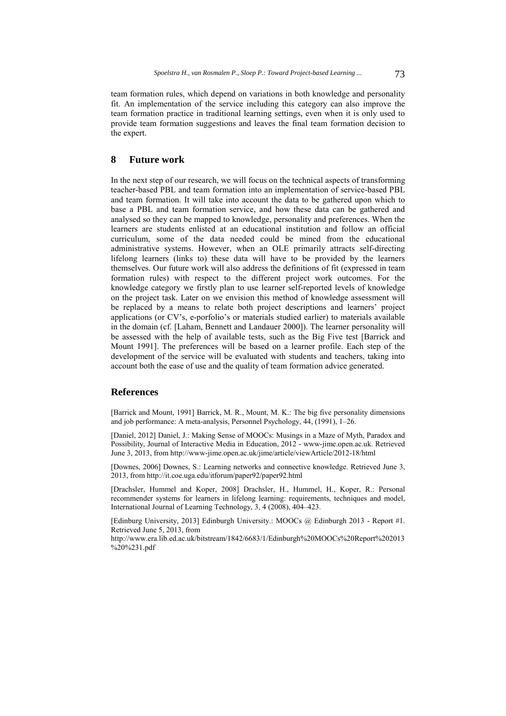team formation rules, which depend on variations in both knowledge and personality fit. An implementation of the service including this category can also improve the team formation practice in traditional learning settings, even when it is only used to provide team formation suggestions and leaves the final team formation decision to the expert.

# **8 Future work**

In the next step of our research, we will focus on the technical aspects of transforming teacher-based PBL and team formation into an implementation of service-based PBL and team formation. It will take into account the data to be gathered upon which to base a PBL and team formation service, and how these data can be gathered and analysed so they can be mapped to knowledge, personality and preferences. When the learners are students enlisted at an educational institution and follow an official curriculum, some of the data needed could be mined from the educational administrative systems. However, when an OLE primarily attracts self-directing lifelong learners (links to) these data will have to be provided by the learners themselves. Our future work will also address the definitions of fit (expressed in team formation rules) with respect to the different project work outcomes. For the knowledge category we firstly plan to use learner self-reported levels of knowledge on the project task. Later on we envision this method of knowledge assessment will be replaced by a means to relate both project descriptions and learners' project applications (or CV's, e-porfolio's or materials studied earlier) to materials available in the domain (cf. [Laham, Bennett and Landauer 2000]). The learner personality will be assessed with the help of available tests, such as the Big Five test [Barrick and Mount 1991]. The preferences will be based on a learner profile. Each step of the development of the service will be evaluated with students and teachers, taking into account both the ease of use and the quality of team formation advice generated.

# **References**

[Barrick and Mount, 1991] Barrick, M. R., Mount, M. K.: The big five personality dimensions and job performance: A meta-analysis, Personnel Psychology, 44, (1991), 1–26.

[Daniel, 2012] Daniel, J.: Making Sense of MOOCs: Musings in a Maze of Myth, Paradox and Possibility, Journal of Interactive Media in Education, 2012 - www-jime.open.ac.uk. Retrieved June 3, 2013, from http://www-jime.open.ac.uk/jime/article/viewArticle/2012-18/html

[Downes, 2006] Downes, S.: Learning networks and connective knowledge. Retrieved June 3, 2013, from http://it.coe.uga.edu/itforum/paper92/paper92.html

[Drachsler, Hummel and Koper, 2008] Drachsler, H., Hummel, H., Koper, R.: Personal recommender systems for learners in lifelong learning: requirements, techniques and model, International Journal of Learning Technology, 3, 4 (2008), 404–423.

[Edinburg University, 2013] Edinburgh University.: MOOCs @ Edinburgh 2013 - Report #1. Retrieved June 5, 2013, from

http://www.era.lib.ed.ac.uk/bitstream/1842/6683/1/Edinburgh%20MOOCs%20Report%202013 %20%231.pdf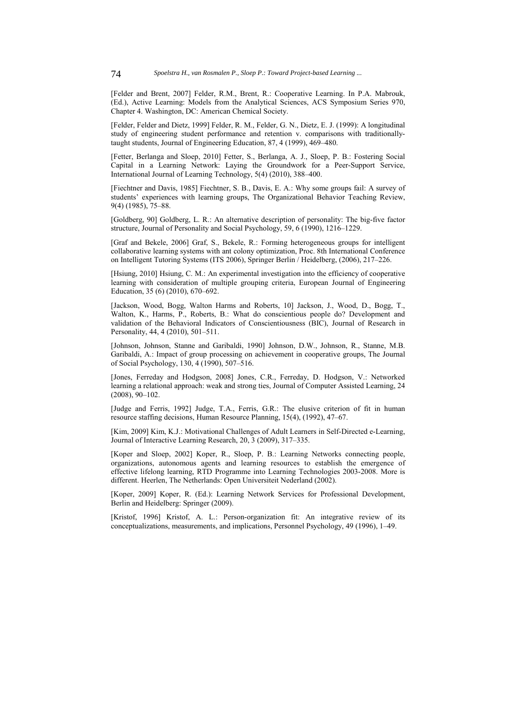[Felder and Brent, 2007] Felder, R.M., Brent, R.: Cooperative Learning. In P.A. Mabrouk, (Ed.), Active Learning: Models from the Analytical Sciences, ACS Symposium Series 970, Chapter 4. Washington, DC: American Chemical Society.

[Felder, Felder and Dietz, 1999] Felder, R. M., Felder, G. N., Dietz, E. J. (1999): A longitudinal study of engineering student performance and retention v. comparisons with traditionallytaught students, Journal of Engineering Education, 87, 4 (1999), 469–480.

[Fetter, Berlanga and Sloep, 2010] Fetter, S., Berlanga, A. J., Sloep, P. B.: Fostering Social Capital in a Learning Network: Laying the Groundwork for a Peer-Support Service, International Journal of Learning Technology, 5(4) (2010), 388–400.

[Fiechtner and Davis, 1985] Fiechtner, S. B., Davis, E. A.: Why some groups fail: A survey of students' experiences with learning groups, The Organizational Behavior Teaching Review, 9(4) (1985), 75–88.

[Goldberg, 90] Goldberg, L. R.: An alternative description of personality: The big-five factor structure, Journal of Personality and Social Psychology, 59, 6 (1990), 1216–1229.

[Graf and Bekele, 2006] Graf, S., Bekele, R.: Forming heterogeneous groups for intelligent collaborative learning systems with ant colony optimization, Proc. 8th International Conference on Intelligent Tutoring Systems (ITS 2006), Springer Berlin / Heidelberg, (2006), 217–226.

[Hsiung, 2010] Hsiung, C. M.: An experimental investigation into the efficiency of cooperative learning with consideration of multiple grouping criteria, European Journal of Engineering Education, 35 (6) (2010), 670–692.

[Jackson, Wood, Bogg, Walton Harms and Roberts, 10] Jackson, J., Wood, D., Bogg, T., Walton, K., Harms, P., Roberts, B.: What do conscientious people do? Development and validation of the Behavioral Indicators of Conscientiousness (BIC), Journal of Research in Personality, 44, 4 (2010), 501–511.

[Johnson, Johnson, Stanne and Garibaldi, 1990] Johnson, D.W., Johnson, R., Stanne, M.B. Garibaldi, A.: Impact of group processing on achievement in cooperative groups, The Journal of Social Psychology, 130, 4 (1990), 507–516.

[Jones, Ferreday and Hodgson, 2008] Jones, C.R., Ferreday, D. Hodgson, V.: Networked learning a relational approach: weak and strong ties, Journal of Computer Assisted Learning, 24 (2008), 90–102.

[Judge and Ferris, 1992] Judge, T.A., Ferris, G.R.: The elusive criterion of fit in human resource staffing decisions, Human Resource Planning, 15(4), (1992), 47–67.

[Kim, 2009] Kim, K.J.: Motivational Challenges of Adult Learners in Self-Directed e-Learning, Journal of Interactive Learning Research, 20, 3 (2009), 317–335.

[Koper and Sloep, 2002] Koper, R., Sloep, P. B.: Learning Networks connecting people, organizations, autonomous agents and learning resources to establish the emergence of effective lifelong learning, RTD Programme into Learning Technologies 2003-2008. More is different. Heerlen, The Netherlands: Open Universiteit Nederland (2002).

[Koper, 2009] Koper, R. (Ed.): Learning Network Services for Professional Development, Berlin and Heidelberg: Springer (2009).

[Kristof, 1996] Kristof, A. L.: Person-organization fit: An integrative review of its conceptualizations, measurements, and implications, Personnel Psychology, 49 (1996), 1–49.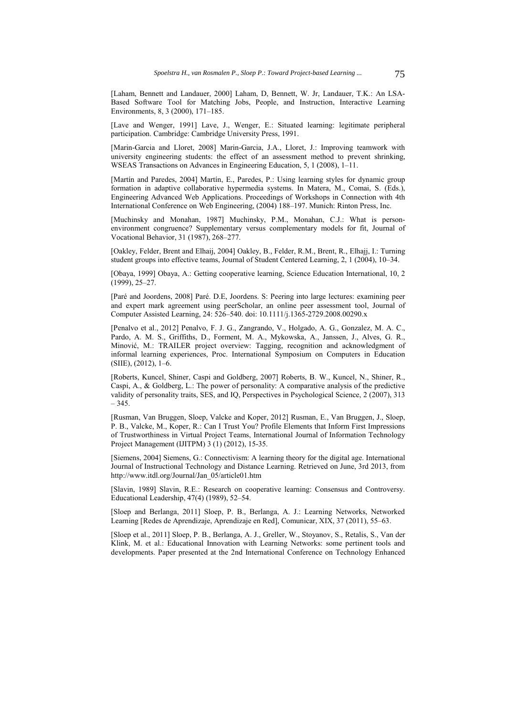[Laham, Bennett and Landauer, 2000] Laham, D, Bennett, W. Jr, Landauer, T.K.: An LSA-Based Software Tool for Matching Jobs, People, and Instruction, Interactive Learning Environments, 8, 3 (2000), 171–185.

[Lave and Wenger, 1991] Lave, J., Wenger, E.: Situated learning: legitimate peripheral participation. Cambridge: Cambridge University Press, 1991.

[Marin-Garcia and Lloret, 2008] Marin-Garcia, J.A., Lloret, J.: Improving teamwork with university engineering students: the effect of an assessment method to prevent shrinking, WSEAS Transactions on Advances in Engineering Education, 5, 1 (2008), 1–11.

[Martín and Paredes, 2004] Martín, E., Paredes, P.: Using learning styles for dynamic group formation in adaptive collaborative hypermedia systems. In Matera, M., Comai, S. (Eds.), Engineering Advanced Web Applications. Proceedings of Workshops in Connection with 4th International Conference on Web Engineering, (2004) 188–197. Munich: Rinton Press, Inc.

[Muchinsky and Monahan, 1987] Muchinsky, P.M., Monahan, C.J.: What is personenvironment congruence? Supplementary versus complementary models for fit, Journal of Vocational Behavior, 31 (1987), 268–277.

[Oakley, Felder, Brent and Elhaij, 2004] Oakley, B., Felder, R.M., Brent, R., Elhajj, I.: Turning student groups into effective teams, Journal of Student Centered Learning, 2, 1 (2004), 10–34.

[Obaya, 1999] Obaya, A.: Getting cooperative learning, Science Education International, 10, 2 (1999), 25–27.

[Paré and Joordens, 2008] Paré. D.E, Joordens. S: Peering into large lectures: examining peer and expert mark agreement using peerScholar, an online peer assessment tool, Journal of Computer Assisted Learning, 24: 526–540. doi: 10.1111/j.1365-2729.2008.00290.x

[Penalvo et al., 2012] Penalvo, F. J. G., Zangrando, V., Holgado, A. G., Gonzalez, M. A. C., Pardo, A. M. S., Griffiths, D., Forment, M. A., Mykowska, A., Janssen, J., Alves, G. R., Minović, M.: TRAILER project overview: Tagging, recognition and acknowledgment of informal learning experiences, Proc. International Symposium on Computers in Education (SIIE), (2012), 1–6.

[Roberts, Kuncel, Shiner, Caspi and Goldberg, 2007] Roberts, B. W., Kuncel, N., Shiner, R., Caspi, A., & Goldberg, L.: The power of personality: A comparative analysis of the predictive validity of personality traits, SES, and IQ, Perspectives in Psychological Science, 2 (2007), 313 – 345.

[Rusman, Van Bruggen, Sloep, Valcke and Koper, 2012] Rusman, E., Van Bruggen, J., Sloep, P. B., Valcke, M., Koper, R.: Can I Trust You? Profile Elements that Inform First Impressions of Trustworthiness in Virtual Project Teams, International Journal of Information Technology Project Management (IJITPM) 3 (1) (2012), 15-35.

[Siemens, 2004] Siemens, G.: Connectivism: A learning theory for the digital age. International Journal of Instructional Technology and Distance Learning. Retrieved on June, 3rd 2013, from http://www.itdl.org/Journal/Jan\_05/article01.htm

[Slavin, 1989] Slavin, R.E.: Research on cooperative learning: Consensus and Controversy. Educational Leadership, 47(4) (1989), 52–54.

[Sloep and Berlanga, 2011] Sloep, P. B., Berlanga, A. J.: Learning Networks, Networked Learning [Redes de Aprendizaje, Aprendizaje en Red], Comunicar, XIX, 37 (2011), 55–63.

[Sloep et al., 2011] Sloep, P. B., Berlanga, A. J., Greller, W., Stoyanov, S., Retalis, S., Van der Klink, M. et al.: Educational Innovation with Learning Networks: some pertinent tools and developments. Paper presented at the 2nd International Conference on Technology Enhanced